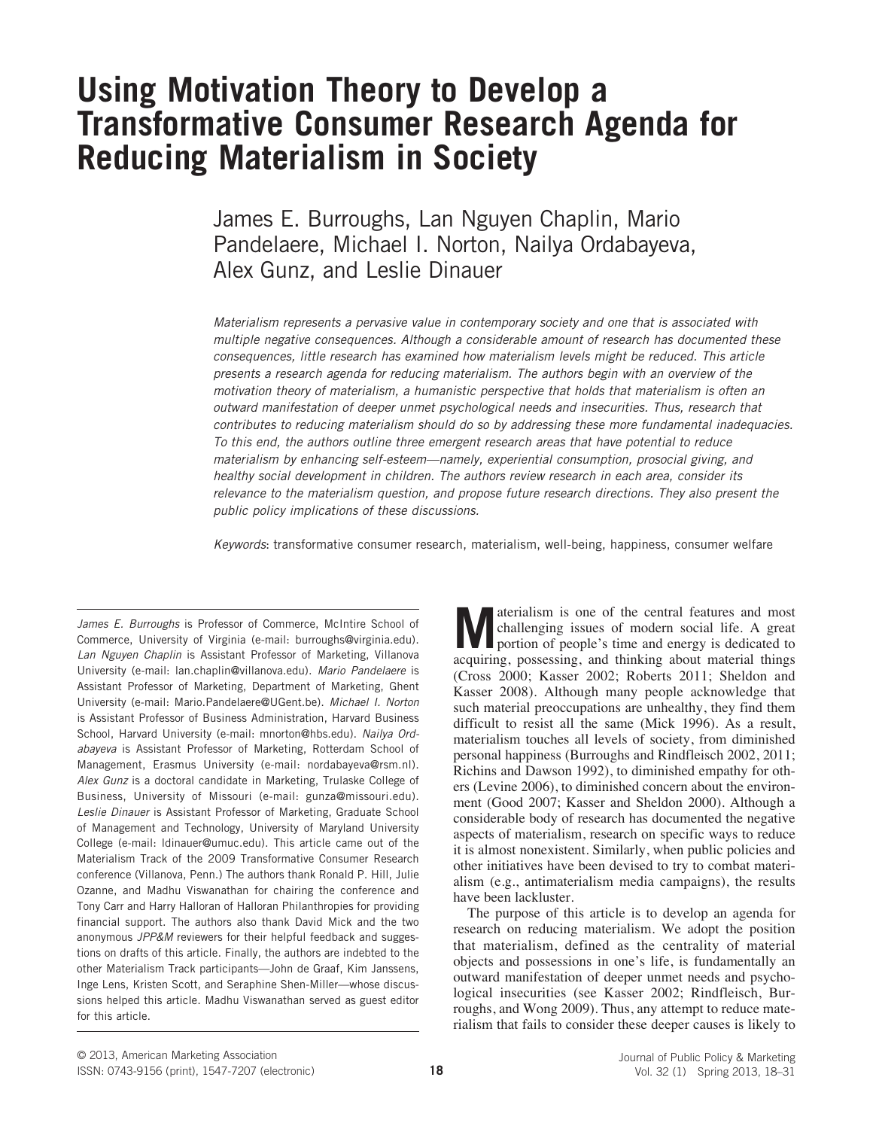# **Using Motivation Theory to Develop a Transformative Consumer Research Agenda for Reducing Materialism in Society**

James E. Burroughs, Lan Nguyen Chaplin, Mario Pandelaere, Michael I. Norton, Nailya Ordabayeva, Alex Gunz, and Leslie Dinauer

*Materialism represents a pervasive value in contemporary society and one that is associated with multiple negative consequences. Although a considerable amount of research has documented these consequences, little research has examined how materialism levels might be reduced. This article presents a research agenda for reducing materialism. The authors begin with an overview of the motivation theory of materialism, a humanistic perspective that holds that materialism is often an outward manifestation of deeper unmet psychological needs and insecurities. Thus, research that contributes to reducing materialism should do so by addressing these more fundamental inadequacies. To this end, the authors outline three emergent research areas that have potential to reduce materialism by enhancing self-esteem—namely, experiential consumption, prosocial giving, and healthy social development in children. The authors review research in each area, consider its relevance to the materialism question, and propose future research directions. They also present the public policy implications of these discussions.* 

*Keywords*: transformative consumer research, materialism, well-being, happiness, consumer welfare

*James E. Burroughs* is Professor of Commerce, McIntire School of Commerce, University of Virginia (e-mail: burroughs@virginia.edu). *Lan Nguyen Chaplin* is Assistant Professor of Marketing, Villanova University (e-mail: lan.chaplin@villanova.edu). *Mario Pandelaere* is Assistant Professor of Marketing, Department of Marketing, Ghent University (e-mail: Mario.Pandelaere@UGent.be). *Michael I. Norton* is Assistant Professor of Business Administration, Harvard Business School, Harvard University (e-mail: mnorton@hbs.edu). *Nailya Ordabayeva* is Assistant Professor of Marketing, Rotterdam School of Management, Erasmus University (e-mail: nordabayeva@rsm.nl). *Alex Gunz* is a doctoral candidate in Marketing, Trulaske College of Business, University of Missouri (e-mail: gunza@missouri.edu). *Leslie Dinauer* is Assistant Professor of Marketing, Graduate School of Management and Technology, University of Maryland University College (e-mail: ldinauer@umuc.edu). This article came out of the Materialism Track of the 2009 Transformative Consumer Research conference (Villanova, Penn.) The authors thank Ronald P. Hill, Julie Ozanne, and Madhu Viswanathan for chairing the conference and Tony Carr and Harry Halloran of Halloran Philanthropies for providing financial support. The authors also thank David Mick and the two anonymous *JPP&M* reviewers for their helpful feedback and suggestions on drafts of this article. Finally, the authors are indebted to the other Materialism Track participants—John de Graaf, Kim Janssens, Inge Lens, Kristen Scott, and Seraphine Shen-Miller—whose discussions helped this article. Madhu Viswanathan served as guest editor for this article.

**M**aterialism is one of the central features and most challenging issues of modern social life. A great portion of people's time and energy is dedicated to acquiring, possessing, and thinking about material things (Cross 2000; Kasser 2002; Roberts 2011; Sheldon and Kasser 2008). Although many people acknowledge that such material preoccupations are unhealthy, they find them difficult to resist all the same (Mick 1996). As a result, materialism touches all levels of society, from diminished personal happiness (Burroughs and Rindfleisch 2002, 2011; Richins and Dawson 1992), to diminished empathy for others (Levine 2006), to diminished concern about the environment (Good 2007; Kasser and Sheldon 2000). Although a considerable body of research has documented the negative aspects of materialism, research on specific ways to reduce it is almost nonexistent. Similarly, when public policies and other initiatives have been devised to try to combat materialism (e.g., antimaterialism media campaigns), the results have been lackluster.

The purpose of this article is to develop an agenda for research on reducing materialism. We adopt the position that materialism, defined as the centrality of material objects and possessions in one's life, is fundamentally an outward manifestation of deeper unmet needs and psychological insecurities (see Kasser 2002; Rindfleisch, Burroughs, and Wong 2009). Thus, any attempt to reduce materialism that fails to consider these deeper causes is likely to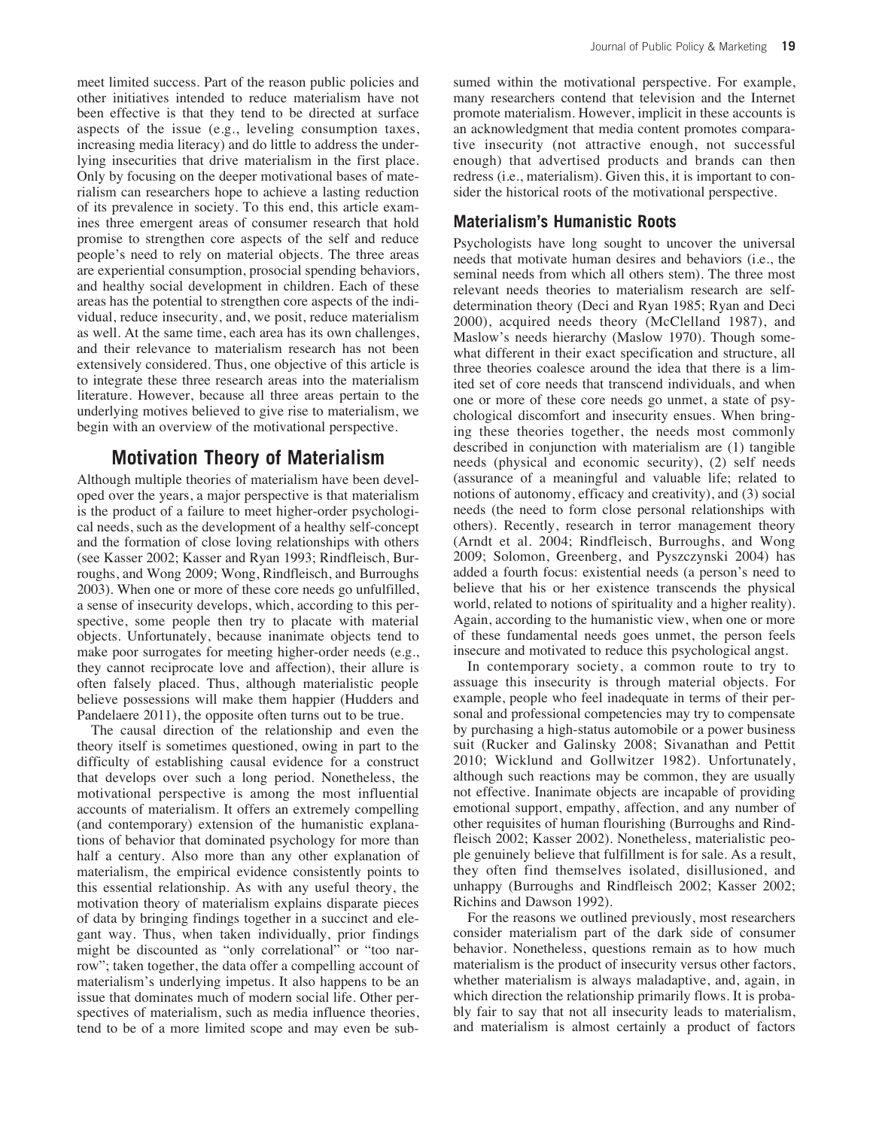meet limited success. Part of the reason public policies and other initiatives intended to reduce materialism have not been effective is that they tend to be directed at surface aspects of the issue (e.g., leveling consumption taxes, increasing media literacy) and do little to address the underlying insecurities that drive materialism in the first place. Only by focusing on the deeper motivational bases of materialism can researchers hope to achieve a lasting reduction of its prevalence in society. To this end, this article examines three emergent areas of consumer research that hold promise to strengthen core aspects of the self and reduce people's need to rely on material objects. The three areas are experiential consumption, prosocial spending behaviors, and healthy social development in children. Each of these areas has the potential to strengthen core aspects of the individual, reduce insecurity, and, we posit, reduce materialism as well. At the same time, each area has its own challenges, and their relevance to materialism research has not been extensively considered. Thus, one objective of this article is to integrate these three research areas into the materialism literature. However, because all three areas pertain to the underlying motives believed to give rise to materialism, we begin with an overview of the motivational perspective.

# **Motivation Theory of Materialism**

Although multiple theories of materialism have been developed over the years, a major perspective is that materialism is the product of a failure to meet higher-order psychological needs, such as the development of a healthy self-concept and the formation of close loving relationships with others (see Kasser 2002; Kasser and Ryan 1993; Rindfleisch, Burroughs, and Wong 2009; Wong, Rindfleisch, and Burroughs 2003). When one or more of these core needs go unfulfilled, a sense of insecurity develops, which, according to this perspective, some people then try to placate with material objects. Unfortunately, because inanimate objects tend to make poor surrogates for meeting higher-order needs (e.g., they cannot reciprocate love and affection), their allure is often falsely placed. Thus, although materialistic people believe possessions will make them happier (Hudders and Pandelaere 2011), the opposite often turns out to be true.

The causal direction of the relationship and even the theory itself is sometimes questioned, owing in part to the difficulty of establishing causal evidence for a construct that develops over such a long period. Nonetheless, the motivational perspective is among the most influential accounts of materialism. It offers an extremely compelling (and contemporary) extension of the humanistic explanations of behavior that dominated psychology for more than half a century. Also more than any other explanation of materialism, the empirical evidence consistently points to this essential relationship. As with any useful theory, the motivation theory of materialism explains disparate pieces of data by bringing findings together in a succinct and elegant way. Thus, when taken individually, prior findings might be discounted as "only correlational" or "too narrow"; taken together, the data offer a compelling account of materialism's underlying impetus. It also happens to be an issue that dominates much of modern social life. Other perspectives of materialism, such as media influence theories, tend to be of a more limited scope and may even be sub-

sumed within the motivational perspective. For example, many researchers contend that television and the Internet promote materialism. However, implicit in these accounts is an acknowledgment that media content promotes comparative insecurity (not attractive enough, not successful enough) that advertised products and brands can then redress (i.e., materialism). Given this, it is important to consider the historical roots of the motivational perspective.

## **Materialism's Humanistic Roots**

Psychologists have long sought to uncover the universal needs that motivate human desires and behaviors (i.e., the seminal needs from which all others stem). The three most relevant needs theories to materialism research are selfdetermination theory (Deci and Ryan 1985; Ryan and Deci 2000), acquired needs theory (McClelland 1987), and Maslow's needs hierarchy (Maslow 1970). Though somewhat different in their exact specification and structure, all three theories coalesce around the idea that there is a limited set of core needs that transcend individuals, and when one or more of these core needs go unmet, a state of psychological discomfort and insecurity ensues. When bringing these theories together, the needs most commonly described in conjunction with materialism are (1) tangible needs (physical and economic security), (2) self needs (assurance of a meaningful and valuable life; related to notions of autonomy, efficacy and creativity), and (3) social needs (the need to form close personal relationships with others). Recently, research in terror management theory (Arndt et al. 2004; Rindfleisch, Burroughs, and Wong 2009; Solomon, Greenberg, and Pyszczynski 2004) has added a fourth focus: existential needs (a person's need to believe that his or her existence transcends the physical world, related to notions of spirituality and a higher reality). Again, according to the humanistic view, when one or more of these fundamental needs goes unmet, the person feels insecure and motivated to reduce this psychological angst.

In contemporary society, a common route to try to assuage this insecurity is through material objects. For example, people who feel inadequate in terms of their personal and professional competencies may try to compensate by purchasing a high-status automobile or a power business suit (Rucker and Galinsky 2008; Sivanathan and Pettit 2010; Wicklund and Gollwitzer 1982). Unfortunately, although such reactions may be common, they are usually not effective. Inanimate objects are incapable of providing emotional support, empathy, affection, and any number of other requisites of human flourishing (Burroughs and Rindfleisch 2002; Kasser 2002). Nonetheless, materialistic people genuinely believe that fulfillment is for sale. As a result, they often find themselves isolated, disillusioned, and unhappy (Burroughs and Rindfleisch 2002; Kasser 2002; Richins and Dawson 1992).

For the reasons we outlined previously, most researchers consider materialism part of the dark side of consumer behavior. Nonetheless, questions remain as to how much materialism is the product of insecurity versus other factors, whether materialism is always maladaptive, and, again, in which direction the relationship primarily flows. It is probably fair to say that not all insecurity leads to materialism, and materialism is almost certainly a product of factors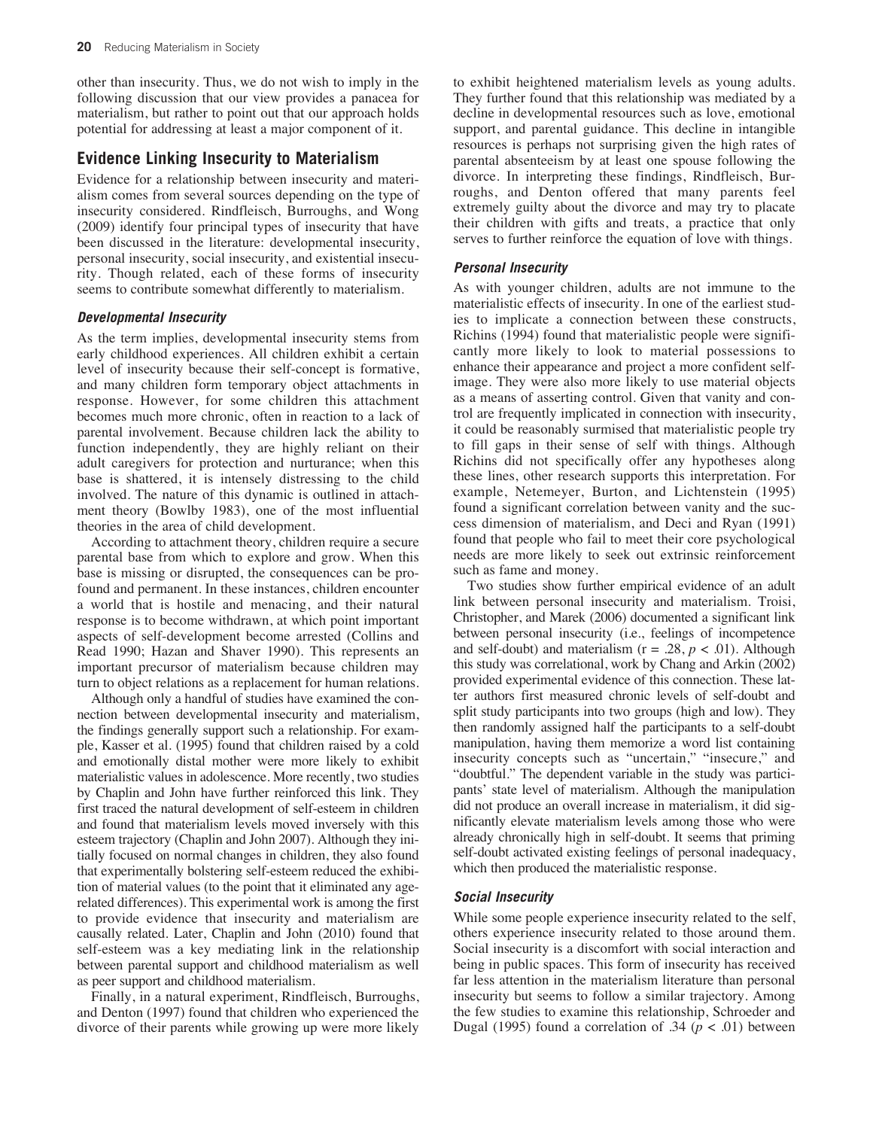other than insecurity. Thus, we do not wish to imply in the following discussion that our view provides a panacea for materialism, but rather to point out that our approach holds potential for addressing at least a major component of it.

## **Evidence Linking Insecurity to Materialism**

Evidence for a relationship between insecurity and materialism comes from several sources depending on the type of insecurity considered. Rindfleisch, Burroughs, and Wong (2009) identify four principal types of insecurity that have been discussed in the literature: developmental insecurity, personal insecurity, social insecurity, and existential insecurity. Though related, each of these forms of insecurity seems to contribute somewhat differently to materialism.

#### *Developmental Insecurity*

As the term implies, developmental insecurity stems from early childhood experiences. All children exhibit a certain level of insecurity because their self-concept is formative, and many children form temporary object attachments in response. However, for some children this attachment becomes much more chronic, often in reaction to a lack of parental involvement. Because children lack the ability to function independently, they are highly reliant on their adult caregivers for protection and nurturance; when this base is shattered, it is intensely distressing to the child involved. The nature of this dynamic is outlined in attachment theory (Bowlby 1983), one of the most influential theories in the area of child development.

According to attachment theory, children require a secure parental base from which to explore and grow. When this base is missing or disrupted, the consequences can be profound and permanent. In these instances, children encounter a world that is hostile and menacing, and their natural response is to become withdrawn, at which point important aspects of self-development become arrested (Collins and Read 1990; Hazan and Shaver 1990). This represents an important precursor of materialism because children may turn to object relations as a replacement for human relations.

Although only a handful of studies have examined the connection between developmental insecurity and materialism, the findings generally support such a relationship. For example, Kasser et al. (1995) found that children raised by a cold and emotionally distal mother were more likely to exhibit materialistic values in adolescence. More recently, two studies by Chaplin and John have further reinforced this link. They first traced the natural development of self-esteem in children and found that materialism levels moved inversely with this esteem trajectory (Chaplin and John 2007). Although they initially focused on normal changes in children, they also found that experimentally bolstering self-esteem reduced the exhibition of material values (to the point that it eliminated any agerelated differences). This experimental work is among the first to provide evidence that insecurity and materialism are causally related. Later, Chaplin and John (2010) found that self-esteem was a key mediating link in the relationship between parental support and childhood materialism as well as peer support and childhood materialism.

Finally, in a natural experiment, Rindfleisch, Burroughs, and Denton (1997) found that children who experienced the divorce of their parents while growing up were more likely

to exhibit heightened materialism levels as young adults. They further found that this relationship was mediated by a decline in developmental resources such as love, emotional support, and parental guidance. This decline in intangible resources is perhaps not surprising given the high rates of parental absenteeism by at least one spouse following the divorce. In interpreting these findings, Rindfleisch, Burroughs, and Denton offered that many parents feel extremely guilty about the divorce and may try to placate their children with gifts and treats, a practice that only serves to further reinforce the equation of love with things.

#### *Personal Insecurity*

As with younger children, adults are not immune to the materialistic effects of insecurity. In one of the earliest studies to implicate a connection between these constructs, Richins (1994) found that materialistic people were significantly more likely to look to material possessions to enhance their appearance and project a more confident selfimage. They were also more likely to use material objects as a means of asserting control. Given that vanity and control are frequently implicated in connection with insecurity, it could be reasonably surmised that materialistic people try to fill gaps in their sense of self with things. Although Richins did not specifically offer any hypotheses along these lines, other research supports this interpretation. For example, Netemeyer, Burton, and Lichtenstein (1995) found a significant correlation between vanity and the success dimension of materialism, and Deci and Ryan (1991) found that people who fail to meet their core psychological needs are more likely to seek out extrinsic reinforcement such as fame and money.

Two studies show further empirical evidence of an adult link between personal insecurity and materialism. Troisi, Christopher, and Marek (2006) documented a significant link between personal insecurity (i.e., feelings of incompetence and self-doubt) and materialism ( $r = .28$ ,  $p < .01$ ). Although this study was correlational, work by Chang and Arkin (2002) provided experimental evidence of this connection. These latter authors first measured chronic levels of self-doubt and split study participants into two groups (high and low). They then randomly assigned half the participants to a self-doubt manipulation, having them memorize a word list containing insecurity concepts such as "uncertain," "insecure," and "doubtful." The dependent variable in the study was participants' state level of materialism. Although the manipulation did not produce an overall increase in materialism, it did significantly elevate materialism levels among those who were already chronically high in self-doubt. It seems that priming self-doubt activated existing feelings of personal inadequacy, which then produced the materialistic response.

#### *Social Insecurity*

While some people experience insecurity related to the self, others experience insecurity related to those around them. Social insecurity is a discomfort with social interaction and being in public spaces. This form of insecurity has received far less attention in the materialism literature than personal insecurity but seems to follow a similar trajectory. Among the few studies to examine this relationship, Schroeder and Dugal (1995) found a correlation of .34 ( $p < .01$ ) between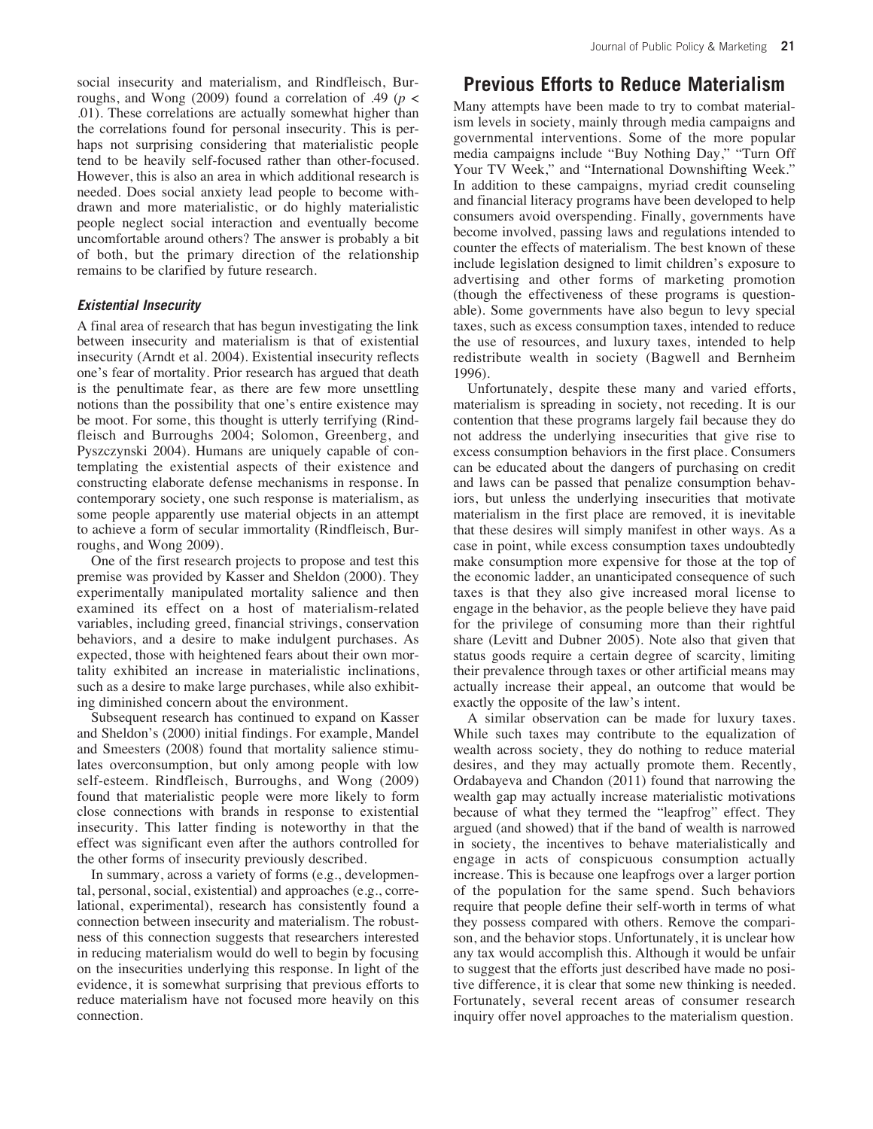social insecurity and materialism, and Rindfleisch, Burroughs, and Wong (2009) found a correlation of .49 ( $p <$ .01). These correlations are actually somewhat higher than the correlations found for personal insecurity. This is perhaps not surprising considering that materialistic people tend to be heavily self-focused rather than other-focused. However, this is also an area in which additional research is needed. Does social anxiety lead people to become withdrawn and more materialistic, or do highly materialistic people neglect social interaction and eventually become uncomfortable around others? The answer is probably a bit of both, but the primary direction of the relationship remains to be clarified by future research.

#### *Existential Insecurity*

A final area of research that has begun investigating the link between insecurity and materialism is that of existential insecurity (Arndt et al. 2004). Existential insecurity reflects one's fear of mortality. Prior research has argued that death is the penultimate fear, as there are few more unsettling notions than the possibility that one's entire existence may be moot. For some, this thought is utterly terrifying (Rindfleisch and Burroughs 2004; Solomon, Greenberg, and Pyszczynski 2004). Humans are uniquely capable of contemplating the existential aspects of their existence and constructing elaborate defense mechanisms in response. In contemporary society, one such response is materialism, as some people apparently use material objects in an attempt to achieve a form of secular immortality (Rindfleisch, Burroughs, and Wong 2009).

One of the first research projects to propose and test this premise was provided by Kasser and Sheldon (2000). They experimentally manipulated mortality salience and then examined its effect on a host of materialism-related variables, including greed, financial strivings, conservation behaviors, and a desire to make indulgent purchases. As expected, those with heightened fears about their own mortality exhibited an increase in materialistic inclinations, such as a desire to make large purchases, while also exhibiting diminished concern about the environment.

Subsequent research has continued to expand on Kasser and Sheldon's (2000) initial findings. For example, Mandel and Smeesters (2008) found that mortality salience stimulates overconsumption, but only among people with low self-esteem. Rindfleisch, Burroughs, and Wong (2009) found that materialistic people were more likely to form close connections with brands in response to existential insecurity. This latter finding is noteworthy in that the effect was significant even after the authors controlled for the other forms of insecurity previously described.

In summary, across a variety of forms (e.g., developmental, personal, social, existential) and approaches (e.g., correlational, experimental), research has consistently found a connection between insecurity and materialism. The robustness of this connection suggests that researchers interested in reducing materialism would do well to begin by focusing on the insecurities underlying this response. In light of the evidence, it is somewhat surprising that previous efforts to reduce materialism have not focused more heavily on this connection.

# **Previous Efforts to Reduce Materialism**

Many attempts have been made to try to combat materialism levels in society, mainly through media campaigns and governmental interventions. Some of the more popular media campaigns include "Buy Nothing Day," "Turn Off Your TV Week," and "International Downshifting Week." In addition to these campaigns, myriad credit counseling and financial literacy programs have been developed to help consumers avoid overspending. Finally, governments have become involved, passing laws and regulations intended to counter the effects of materialism. The best known of these include legislation designed to limit children's exposure to advertising and other forms of marketing promotion (though the effectiveness of these programs is questionable). Some governments have also begun to levy special taxes, such as excess consumption taxes, intended to reduce the use of resources, and luxury taxes, intended to help redistribute wealth in society (Bagwell and Bernheim 1996).

Unfortunately, despite these many and varied efforts, materialism is spreading in society, not receding. It is our contention that these programs largely fail because they do not address the underlying insecurities that give rise to excess consumption behaviors in the first place. Consumers can be educated about the dangers of purchasing on credit and laws can be passed that penalize consumption behaviors, but unless the underlying insecurities that motivate materialism in the first place are removed, it is inevitable that these desires will simply manifest in other ways. As a case in point, while excess consumption taxes undoubtedly make consumption more expensive for those at the top of the economic ladder, an unanticipated consequence of such taxes is that they also give increased moral license to engage in the behavior, as the people believe they have paid for the privilege of consuming more than their rightful share (Levitt and Dubner 2005). Note also that given that status goods require a certain degree of scarcity, limiting their prevalence through taxes or other artificial means may actually increase their appeal, an outcome that would be exactly the opposite of the law's intent.

A similar observation can be made for luxury taxes. While such taxes may contribute to the equalization of wealth across society, they do nothing to reduce material desires, and they may actually promote them. Recently, Ordabayeva and Chandon (2011) found that narrowing the wealth gap may actually increase materialistic motivations because of what they termed the "leapfrog" effect. They argued (and showed) that if the band of wealth is narrowed in society, the incentives to behave materialistically and engage in acts of conspicuous consumption actually increase. This is because one leapfrogs over a larger portion of the population for the same spend. Such behaviors require that people define their self-worth in terms of what they possess compared with others. Remove the comparison, and the behavior stops. Unfortunately, it is unclear how any tax would accomplish this. Although it would be unfair to suggest that the efforts just described have made no positive difference, it is clear that some new thinking is needed. Fortunately, several recent areas of consumer research inquiry offer novel approaches to the materialism question.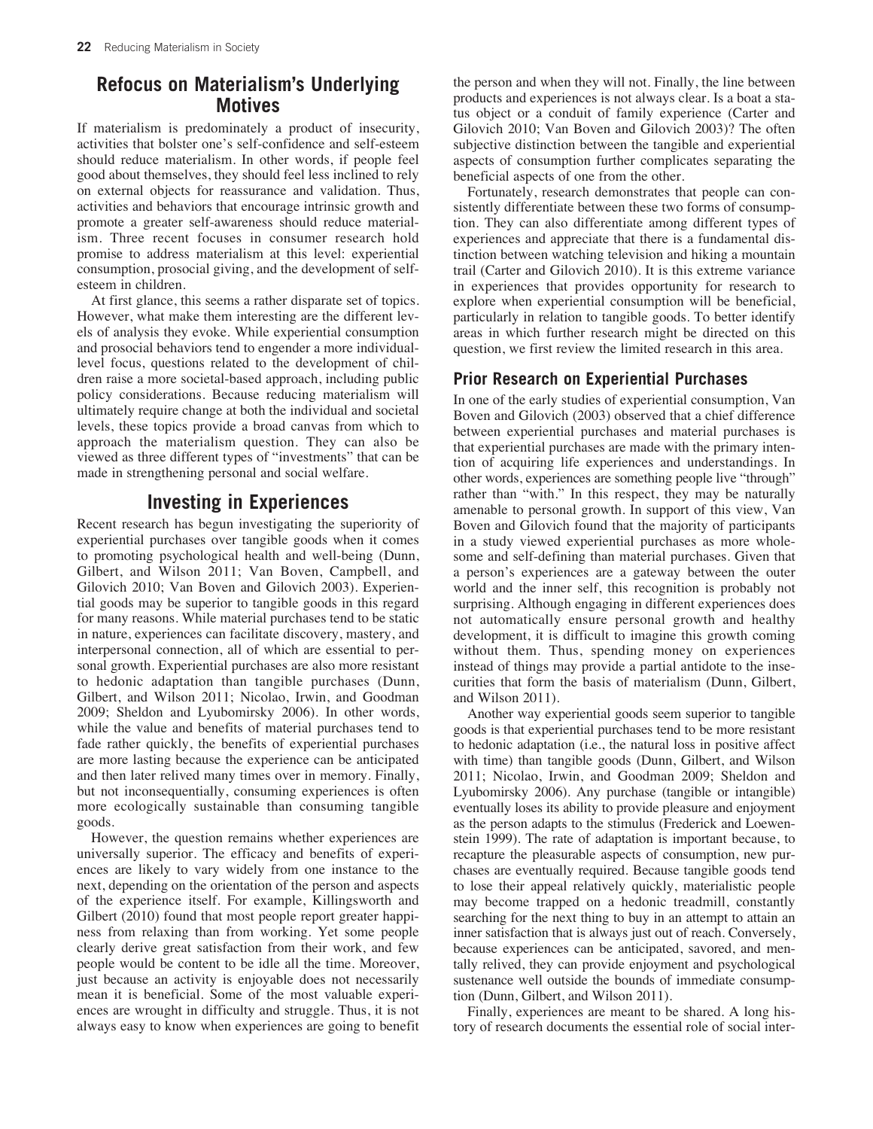# **Refocus on Materialism's Underlying Motives**

If materialism is predominately a product of insecurity, activities that bolster one's self-confidence and self-esteem should reduce materialism. In other words, if people feel good about themselves, they should feel less inclined to rely on external objects for reassurance and validation. Thus, activities and behaviors that encourage intrinsic growth and promote a greater self-awareness should reduce materialism. Three recent focuses in consumer research hold promise to address materialism at this level: experiential consumption, prosocial giving, and the development of selfesteem in children.

At first glance, this seems a rather disparate set of topics. However, what make them interesting are the different levels of analysis they evoke. While experiential consumption and prosocial behaviors tend to engender a more individuallevel focus, questions related to the development of children raise a more societal-based approach, including public policy considerations. Because reducing materialism will ultimately require change at both the individual and societal levels, these topics provide a broad canvas from which to approach the materialism question. They can also be viewed as three different types of "investments" that can be made in strengthening personal and social welfare.

# **Investing in Experiences**

Recent research has begun investigating the superiority of experiential purchases over tangible goods when it comes to promoting psychological health and well-being (Dunn, Gilbert, and Wilson 2011; Van Boven, Campbell, and Gilovich 2010; Van Boven and Gilovich 2003). Experiential goods may be superior to tangible goods in this regard for many reasons. While material purchases tend to be static in nature, experiences can facilitate discovery, mastery, and interpersonal connection, all of which are essential to personal growth. Experiential purchases are also more resistant to hedonic adaptation than tangible purchases (Dunn, Gilbert, and Wilson 2011; Nicolao, Irwin, and Goodman 2009; Sheldon and Lyubomirsky 2006). In other words, while the value and benefits of material purchases tend to fade rather quickly, the benefits of experiential purchases are more lasting because the experience can be anticipated and then later relived many times over in memory. Finally, but not inconsequentially, consuming experiences is often more ecologically sustainable than consuming tangible goods.

However, the question remains whether experiences are universally superior. The efficacy and benefits of experiences are likely to vary widely from one instance to the next, depending on the orientation of the person and aspects of the experience itself. For example, Killingsworth and Gilbert (2010) found that most people report greater happiness from relaxing than from working. Yet some people clearly derive great satisfaction from their work, and few people would be content to be idle all the time. Moreover, just because an activity is enjoyable does not necessarily mean it is beneficial. Some of the most valuable experiences are wrought in difficulty and struggle. Thus, it is not always easy to know when experiences are going to benefit

the person and when they will not. Finally, the line between products and experiences is not always clear. Is a boat a status object or a conduit of family experience (Carter and Gilovich 2010; Van Boven and Gilovich 2003)? The often subjective distinction between the tangible and experiential aspects of consumption further complicates separating the beneficial aspects of one from the other.

Fortunately, research demonstrates that people can consistently differentiate between these two forms of consumption. They can also differentiate among different types of experiences and appreciate that there is a fundamental distinction between watching television and hiking a mountain trail (Carter and Gilovich 2010). It is this extreme variance in experiences that provides opportunity for research to explore when experiential consumption will be beneficial, particularly in relation to tangible goods. To better identify areas in which further research might be directed on this question, we first review the limited research in this area.

## **Prior Research on Experiential Purchases**

In one of the early studies of experiential consumption, Van Boven and Gilovich (2003) observed that a chief difference between experiential purchases and material purchases is that experiential purchases are made with the primary intention of acquiring life experiences and understandings. In other words, experiences are something people live "through" rather than "with." In this respect, they may be naturally amenable to personal growth. In support of this view, Van Boven and Gilovich found that the majority of participants in a study viewed experiential purchases as more wholesome and self-defining than material purchases. Given that a person's experiences are a gateway between the outer world and the inner self, this recognition is probably not surprising. Although engaging in different experiences does not automatically ensure personal growth and healthy development, it is difficult to imagine this growth coming without them. Thus, spending money on experiences instead of things may provide a partial antidote to the insecurities that form the basis of materialism (Dunn, Gilbert, and Wilson 2011).

Another way experiential goods seem superior to tangible goods is that experiential purchases tend to be more resistant to hedonic adaptation (i.e., the natural loss in positive affect with time) than tangible goods (Dunn, Gilbert, and Wilson 2011; Nicolao, Irwin, and Goodman 2009; Sheldon and Lyubomirsky 2006). Any purchase (tangible or intangible) eventually loses its ability to provide pleasure and enjoyment as the person adapts to the stimulus (Frederick and Loewenstein 1999). The rate of adaptation is important because, to recapture the pleasurable aspects of consumption, new purchases are eventually required. Because tangible goods tend to lose their appeal relatively quickly, materialistic people may become trapped on a hedonic treadmill, constantly searching for the next thing to buy in an attempt to attain an inner satisfaction that is always just out of reach. Conversely, because experiences can be anticipated, savored, and mentally relived, they can provide enjoyment and psychological sustenance well outside the bounds of immediate consumption (Dunn, Gilbert, and Wilson 2011).

Finally, experiences are meant to be shared. A long history of research documents the essential role of social inter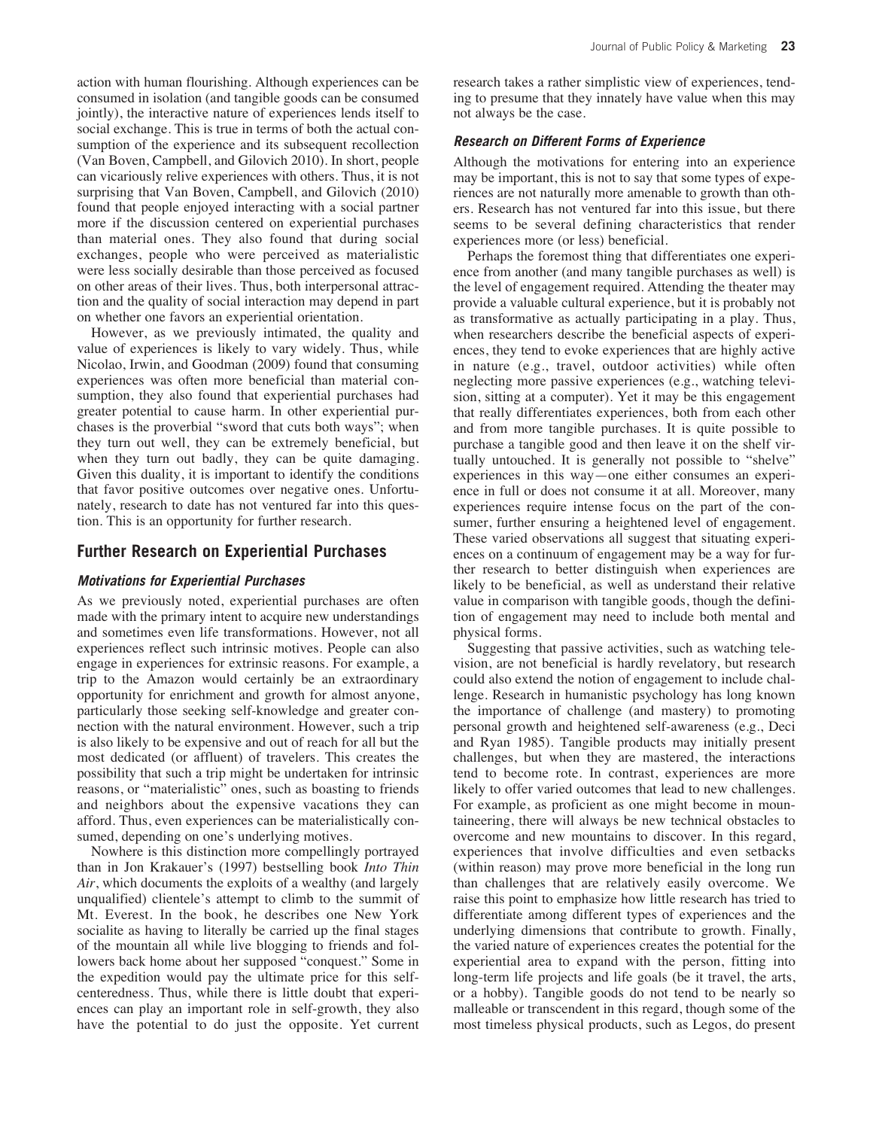action with human flourishing. Although experiences can be consumed in isolation (and tangible goods can be consumed jointly), the interactive nature of experiences lends itself to social exchange. This is true in terms of both the actual consumption of the experience and its subsequent recollection (Van Boven, Campbell, and Gilovich 2010). In short, people can vicariously relive experiences with others. Thus, it is not surprising that Van Boven, Campbell, and Gilovich (2010) found that people enjoyed interacting with a social partner more if the discussion centered on experiential purchases than material ones. They also found that during social exchanges, people who were perceived as materialistic were less socially desirable than those perceived as focused on other areas of their lives. Thus, both interpersonal attraction and the quality of social interaction may depend in part on whether one favors an experiential orientation.

However, as we previously intimated, the quality and value of experiences is likely to vary widely. Thus, while Nicolao, Irwin, and Goodman (2009) found that consuming experiences was often more beneficial than material consumption, they also found that experiential purchases had greater potential to cause harm. In other experiential purchases is the proverbial "sword that cuts both ways"; when they turn out well, they can be extremely beneficial, but when they turn out badly, they can be quite damaging. Given this duality, it is important to identify the conditions that favor positive outcomes over negative ones. Unfortunately, research to date has not ventured far into this question. This is an opportunity for further research.

### **Further Research on Experiential Purchases**

#### *Motivations for Experiential Purchases*

As we previously noted, experiential purchases are often made with the primary intent to acquire new understandings and sometimes even life transformations. However, not all experiences reflect such intrinsic motives. People can also engage in experiences for extrinsic reasons. For example, a trip to the Amazon would certainly be an extraordinary opportunity for enrichment and growth for almost anyone, particularly those seeking self-knowledge and greater connection with the natural environment. However, such a trip is also likely to be expensive and out of reach for all but the most dedicated (or affluent) of travelers. This creates the possibility that such a trip might be undertaken for intrinsic reasons, or "materialistic" ones, such as boasting to friends and neighbors about the expensive vacations they can afford. Thus, even experiences can be materialistically consumed, depending on one's underlying motives.

Nowhere is this distinction more compellingly portrayed than in Jon Krakauer's (1997) bestselling book *Into Thin Air*, which documents the exploits of a wealthy (and largely unqualified) clientele's attempt to climb to the summit of Mt. Everest. In the book, he describes one New York socialite as having to literally be carried up the final stages of the mountain all while live blogging to friends and followers back home about her supposed "conquest." Some in the expedition would pay the ultimate price for this selfcenteredness. Thus, while there is little doubt that experiences can play an important role in self-growth, they also have the potential to do just the opposite. Yet current

research takes a rather simplistic view of experiences, tending to presume that they innately have value when this may not always be the case.

#### *Research on Different Forms of Experience*

Although the motivations for entering into an experience may be important, this is not to say that some types of experiences are not naturally more amenable to growth than others. Research has not ventured far into this issue, but there seems to be several defining characteristics that render experiences more (or less) beneficial.

Perhaps the foremost thing that differentiates one experience from another (and many tangible purchases as well) is the level of engagement required. Attending the theater may provide a valuable cultural experience, but it is probably not as transformative as actually participating in a play. Thus, when researchers describe the beneficial aspects of experiences, they tend to evoke experiences that are highly active in nature (e.g., travel, outdoor activities) while often neglecting more passive experiences (e.g., watching television, sitting at a computer). Yet it may be this engagement that really differentiates experiences, both from each other and from more tangible purchases. It is quite possible to purchase a tangible good and then leave it on the shelf virtually untouched. It is generally not possible to "shelve" experiences in this way—one either consumes an experience in full or does not consume it at all. Moreover, many experiences require intense focus on the part of the consumer, further ensuring a heightened level of engagement. These varied observations all suggest that situating experiences on a continuum of engagement may be a way for further research to better distinguish when experiences are likely to be beneficial, as well as understand their relative value in comparison with tangible goods, though the definition of engagement may need to include both mental and physical forms.

Suggesting that passive activities, such as watching television, are not beneficial is hardly revelatory, but research could also extend the notion of engagement to include challenge. Research in humanistic psychology has long known the importance of challenge (and mastery) to promoting personal growth and heightened self-awareness (e.g., Deci and Ryan 1985). Tangible products may initially present challenges, but when they are mastered, the interactions tend to become rote. In contrast, experiences are more likely to offer varied outcomes that lead to new challenges. For example, as proficient as one might become in mountaineering, there will always be new technical obstacles to overcome and new mountains to discover. In this regard, experiences that involve difficulties and even setbacks (within reason) may prove more beneficial in the long run than challenges that are relatively easily overcome. We raise this point to emphasize how little research has tried to differentiate among different types of experiences and the underlying dimensions that contribute to growth. Finally, the varied nature of experiences creates the potential for the experiential area to expand with the person, fitting into long-term life projects and life goals (be it travel, the arts, or a hobby). Tangible goods do not tend to be nearly so malleable or transcendent in this regard, though some of the most timeless physical products, such as Legos, do present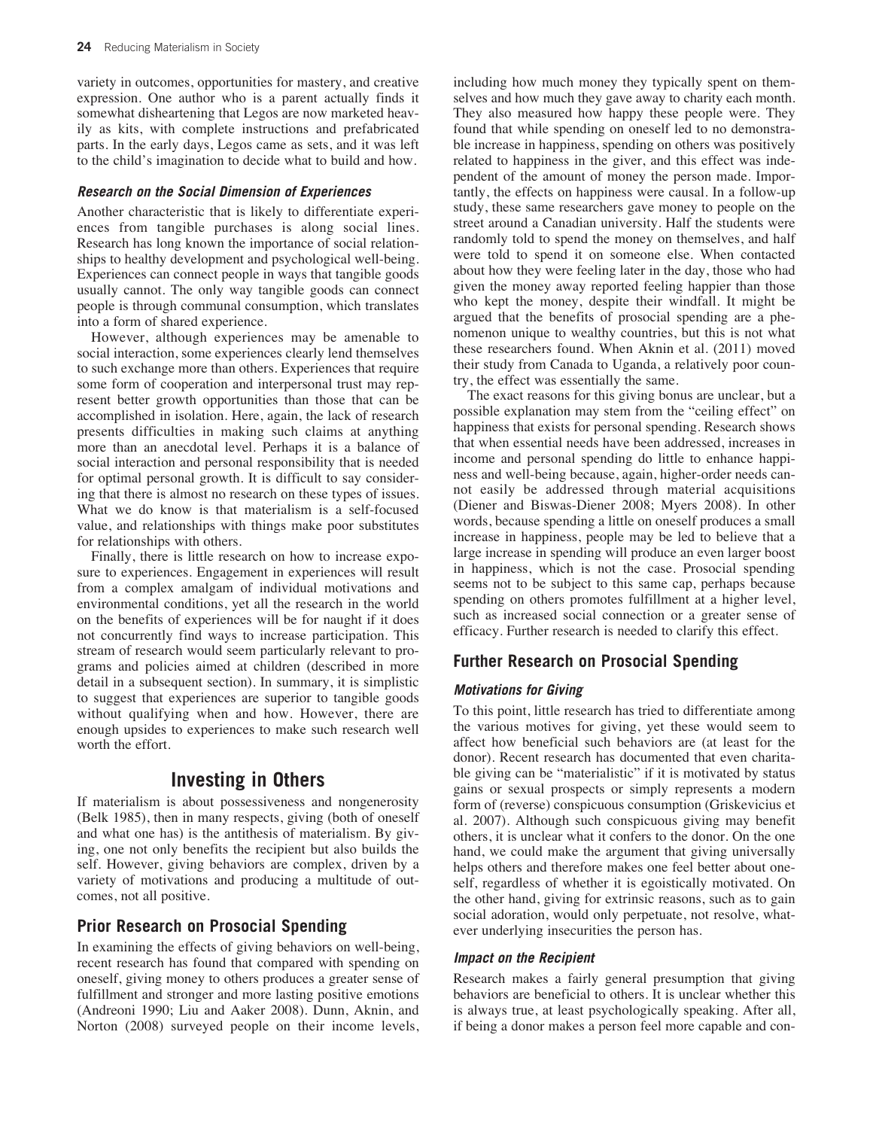variety in outcomes, opportunities for mastery, and creative expression. One author who is a parent actually finds it somewhat disheartening that Legos are now marketed heavily as kits, with complete instructions and prefabricated parts. In the early days, Legos came as sets, and it was left to the child's imagination to decide what to build and how.

#### *Research on the Social Dimension of Experiences*

Another characteristic that is likely to differentiate experiences from tangible purchases is along social lines. Research has long known the importance of social relationships to healthy development and psychological well-being. Experiences can connect people in ways that tangible goods usually cannot. The only way tangible goods can connect people is through communal consumption, which translates into a form of shared experience.

However, although experiences may be amenable to social interaction, some experiences clearly lend themselves to such exchange more than others. Experiences that require some form of cooperation and interpersonal trust may represent better growth opportunities than those that can be accomplished in isolation. Here, again, the lack of research presents difficulties in making such claims at anything more than an anecdotal level. Perhaps it is a balance of social interaction and personal responsibility that is needed for optimal personal growth. It is difficult to say considering that there is almost no research on these types of issues. What we do know is that materialism is a self-focused value, and relationships with things make poor substitutes for relationships with others.

Finally, there is little research on how to increase exposure to experiences. Engagement in experiences will result from a complex amalgam of individual motivations and environmental conditions, yet all the research in the world on the benefits of experiences will be for naught if it does not concurrently find ways to increase participation. This stream of research would seem particularly relevant to programs and policies aimed at children (described in more detail in a subsequent section). In summary, it is simplistic to suggest that experiences are superior to tangible goods without qualifying when and how. However, there are enough upsides to experiences to make such research well worth the effort.

# **Investing in Others**

If materialism is about possessiveness and nongenerosity (Belk 1985), then in many respects, giving (both of oneself and what one has) is the antithesis of materialism. By giving, one not only benefits the recipient but also builds the self. However, giving behaviors are complex, driven by a variety of motivations and producing a multitude of outcomes, not all positive.

## **Prior Research on Prosocial Spending**

In examining the effects of giving behaviors on well-being, recent research has found that compared with spending on oneself, giving money to others produces a greater sense of fulfillment and stronger and more lasting positive emotions (Andreoni 1990; Liu and Aaker 2008). Dunn, Aknin, and Norton (2008) surveyed people on their income levels, including how much money they typically spent on themselves and how much they gave away to charity each month. They also measured how happy these people were. They found that while spending on oneself led to no demonstrable increase in happiness, spending on others was positively related to happiness in the giver, and this effect was independent of the amount of money the person made. Importantly, the effects on happiness were causal. In a follow-up study, these same researchers gave money to people on the street around a Canadian university. Half the students were randomly told to spend the money on themselves, and half were told to spend it on someone else. When contacted about how they were feeling later in the day, those who had given the money away reported feeling happier than those who kept the money, despite their windfall. It might be argued that the benefits of prosocial spending are a phenomenon unique to wealthy countries, but this is not what these researchers found. When Aknin et al. (2011) moved their study from Canada to Uganda, a relatively poor country, the effect was essentially the same.

The exact reasons for this giving bonus are unclear, but a possible explanation may stem from the "ceiling effect" on happiness that exists for personal spending. Research shows that when essential needs have been addressed, increases in income and personal spending do little to enhance happiness and well-being because, again, higher-order needs cannot easily be addressed through material acquisitions (Diener and Biswas-Diener 2008; Myers 2008). In other words, because spending a little on oneself produces a small increase in happiness, people may be led to believe that a large increase in spending will produce an even larger boost in happiness, which is not the case. Prosocial spending seems not to be subject to this same cap, perhaps because spending on others promotes fulfillment at a higher level, such as increased social connection or a greater sense of efficacy. Further research is needed to clarify this effect.

## **Further Research on Prosocial Spending**

#### *Motivations for Giving*

To this point, little research has tried to differentiate among the various motives for giving, yet these would seem to affect how beneficial such behaviors are (at least for the donor). Recent research has documented that even charitable giving can be "materialistic" if it is motivated by status gains or sexual prospects or simply represents a modern form of (reverse) conspicuous consumption (Griskevicius et al. 2007). Although such conspicuous giving may benefit others, it is unclear what it confers to the donor. On the one hand, we could make the argument that giving universally helps others and therefore makes one feel better about oneself, regardless of whether it is egoistically motivated. On the other hand, giving for extrinsic reasons, such as to gain social adoration, would only perpetuate, not resolve, whatever underlying insecurities the person has.

#### *Impact on the Recipient*

Research makes a fairly general presumption that giving behaviors are beneficial to others. It is unclear whether this is always true, at least psychologically speaking. After all, if being a donor makes a person feel more capable and con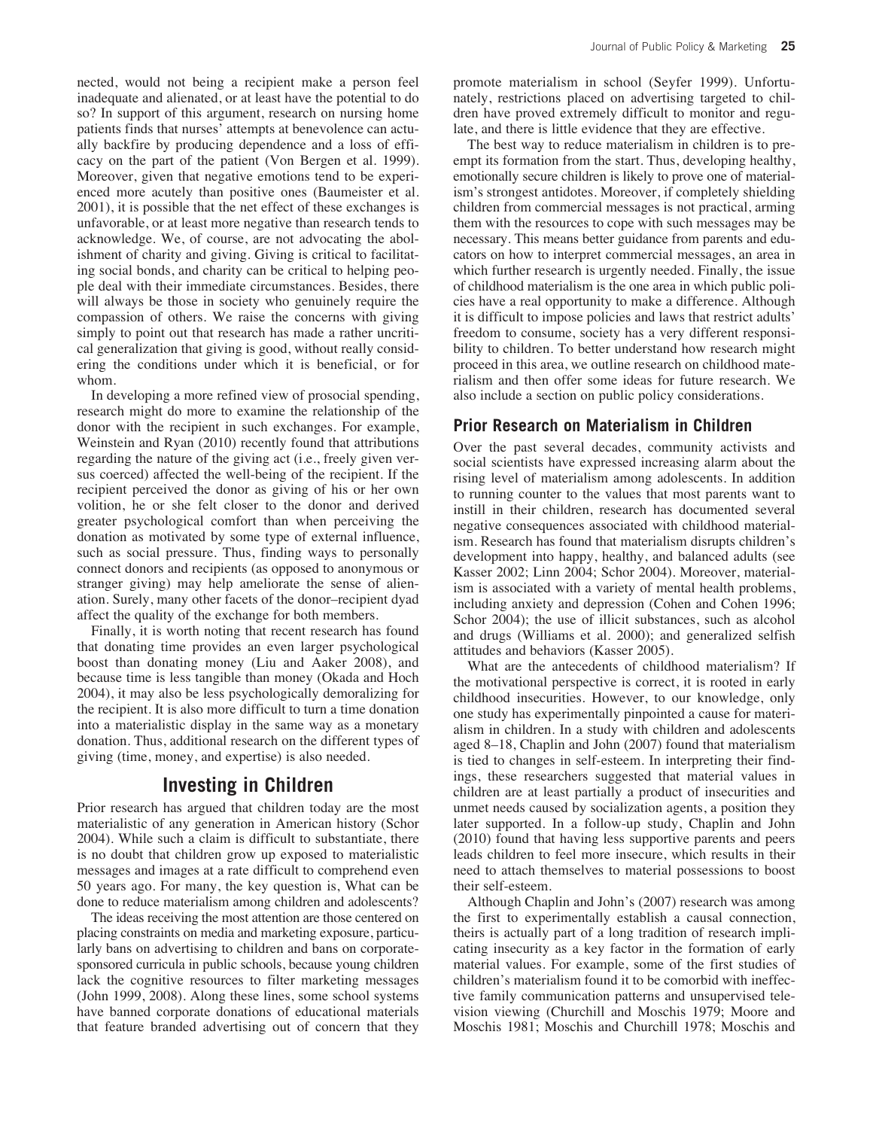nected, would not being a recipient make a person feel inadequate and alienated, or at least have the potential to do so? In support of this argument, research on nursing home patients finds that nurses' attempts at benevolence can actually backfire by producing dependence and a loss of efficacy on the part of the patient (Von Bergen et al. 1999). Moreover, given that negative emotions tend to be experienced more acutely than positive ones (Baumeister et al. 2001), it is possible that the net effect of these exchanges is unfavorable, or at least more negative than research tends to acknowledge. We, of course, are not advocating the abolishment of charity and giving. Giving is critical to facilitating social bonds, and charity can be critical to helping people deal with their immediate circumstances. Besides, there will always be those in society who genuinely require the compassion of others. We raise the concerns with giving simply to point out that research has made a rather uncritical generalization that giving is good, without really considering the conditions under which it is beneficial, or for whom.

In developing a more refined view of prosocial spending, research might do more to examine the relationship of the donor with the recipient in such exchanges. For example, Weinstein and Ryan (2010) recently found that attributions regarding the nature of the giving act (i.e., freely given versus coerced) affected the well-being of the recipient. If the recipient perceived the donor as giving of his or her own volition, he or she felt closer to the donor and derived greater psychological comfort than when perceiving the donation as motivated by some type of external influence, such as social pressure. Thus, finding ways to personally connect donors and recipients (as opposed to anonymous or stranger giving) may help ameliorate the sense of alienation. Surely, many other facets of the donor–recipient dyad affect the quality of the exchange for both members.

Finally, it is worth noting that recent research has found that donating time provides an even larger psychological boost than donating money (Liu and Aaker 2008), and because time is less tangible than money (Okada and Hoch 2004), it may also be less psychologically demoralizing for the recipient. It is also more difficult to turn a time donation into a materialistic display in the same way as a monetary donation. Thus, additional research on the different types of giving (time, money, and expertise) is also needed.

## **Investing in Children**

Prior research has argued that children today are the most materialistic of any generation in American history (Schor 2004). While such a claim is difficult to substantiate, there is no doubt that children grow up exposed to materialistic messages and images at a rate difficult to comprehend even 50 years ago. For many, the key question is, What can be done to reduce materialism among children and adolescents?

The ideas receiving the most attention are those centered on placing constraints on media and marketing exposure, particularly bans on advertising to children and bans on corporatesponsored curricula in public schools, because young children lack the cognitive resources to filter marketing messages (John 1999, 2008). Along these lines, some school systems have banned corporate donations of educational materials that feature branded advertising out of concern that they promote materialism in school (Seyfer 1999). Unfortunately, restrictions placed on advertising targeted to children have proved extremely difficult to monitor and regulate, and there is little evidence that they are effective.

The best way to reduce materialism in children is to preempt its formation from the start. Thus, developing healthy, emotionally secure children is likely to prove one of materialism's strongest antidotes. Moreover, if completely shielding children from commercial messages is not practical, arming them with the resources to cope with such messages may be necessary. This means better guidance from parents and educators on how to interpret commercial messages, an area in which further research is urgently needed. Finally, the issue of childhood materialism is the one area in which public policies have a real opportunity to make a difference. Although it is difficult to impose policies and laws that restrict adults' freedom to consume, society has a very different responsibility to children. To better understand how research might proceed in this area, we outline research on childhood materialism and then offer some ideas for future research. We also include a section on public policy considerations.

#### **Prior Research on Materialism in Children**

Over the past several decades, community activists and social scientists have expressed increasing alarm about the rising level of materialism among adolescents. In addition to running counter to the values that most parents want to instill in their children, research has documented several negative consequences associated with childhood materialism. Research has found that materialism disrupts children's development into happy, healthy, and balanced adults (see Kasser 2002; Linn 2004; Schor 2004). Moreover, materialism is associated with a variety of mental health problems, including anxiety and depression (Cohen and Cohen 1996; Schor 2004); the use of illicit substances, such as alcohol and drugs (Williams et al. 2000); and generalized selfish attitudes and behaviors (Kasser 2005).

What are the antecedents of childhood materialism? If the motivational perspective is correct, it is rooted in early childhood insecurities. However, to our knowledge, only one study has experimentally pinpointed a cause for materialism in children. In a study with children and adolescents aged 8–18, Chaplin and John (2007) found that materialism is tied to changes in self-esteem. In interpreting their findings, these researchers suggested that material values in children are at least partially a product of insecurities and unmet needs caused by socialization agents, a position they later supported. In a follow-up study, Chaplin and John (2010) found that having less supportive parents and peers leads children to feel more insecure, which results in their need to attach themselves to material possessions to boost their self-esteem.

Although Chaplin and John's (2007) research was among the first to experimentally establish a causal connection, theirs is actually part of a long tradition of research implicating insecurity as a key factor in the formation of early material values. For example, some of the first studies of children's materialism found it to be comorbid with ineffective family communication patterns and unsupervised television viewing (Churchill and Moschis 1979; Moore and Moschis 1981; Moschis and Churchill 1978; Moschis and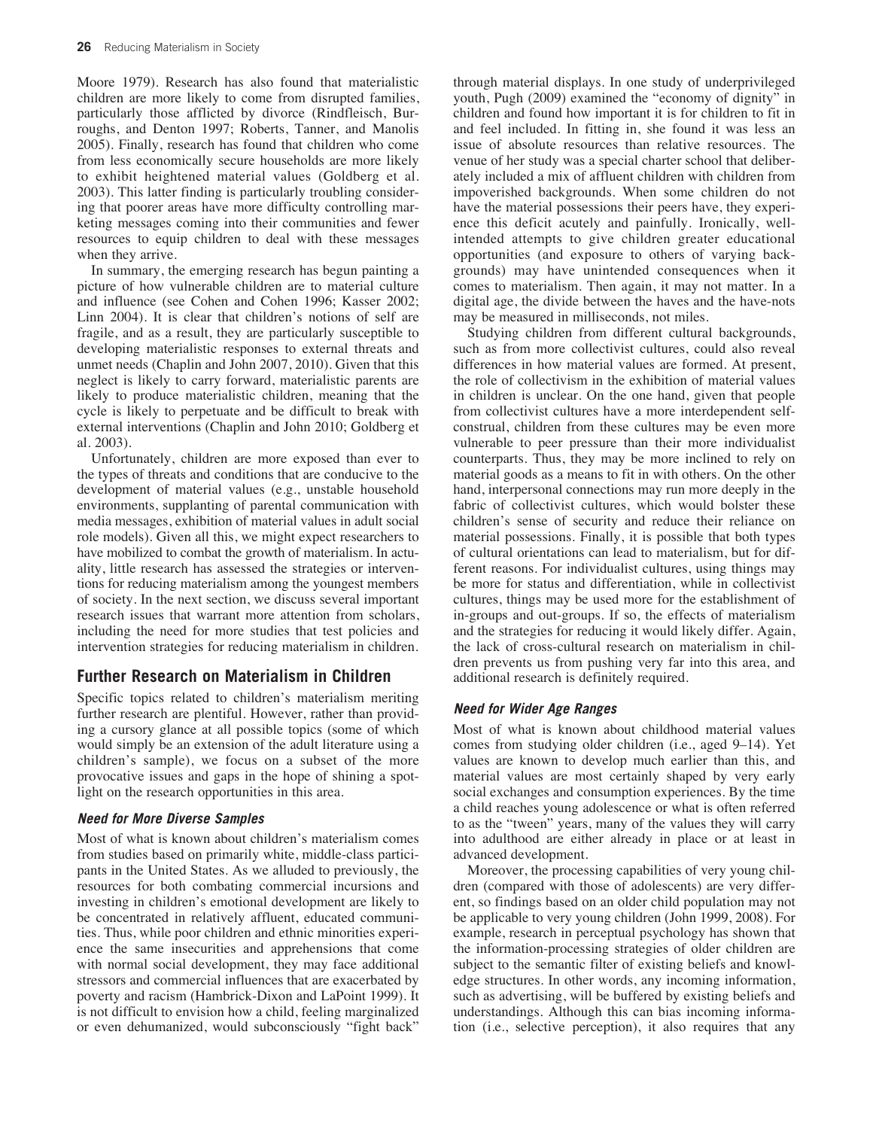Moore 1979). Research has also found that materialistic children are more likely to come from disrupted families, particularly those afflicted by divorce (Rindfleisch, Burroughs, and Denton 1997; Roberts, Tanner, and Manolis 2005). Finally, research has found that children who come from less economically secure households are more likely to exhibit heightened material values (Goldberg et al. 2003). This latter finding is particularly troubling considering that poorer areas have more difficulty controlling marketing messages coming into their communities and fewer resources to equip children to deal with these messages when they arrive.

In summary, the emerging research has begun painting a picture of how vulnerable children are to material culture and influence (see Cohen and Cohen 1996; Kasser 2002; Linn 2004). It is clear that children's notions of self are fragile, and as a result, they are particularly susceptible to developing materialistic responses to external threats and unmet needs (Chaplin and John 2007, 2010). Given that this neglect is likely to carry forward, materialistic parents are likely to produce materialistic children, meaning that the cycle is likely to perpetuate and be difficult to break with external interventions (Chaplin and John 2010; Goldberg et al. 2003).

Unfortunately, children are more exposed than ever to the types of threats and conditions that are conducive to the development of material values (e.g., unstable household environments, supplanting of parental communication with media messages, exhibition of material values in adult social role models). Given all this, we might expect researchers to have mobilized to combat the growth of materialism. In actuality, little research has assessed the strategies or interventions for reducing materialism among the youngest members of society. In the next section, we discuss several important research issues that warrant more attention from scholars, including the need for more studies that test policies and intervention strategies for reducing materialism in children.

## **Further Research on Materialism in Children**

Specific topics related to children's materialism meriting further research are plentiful. However, rather than providing a cursory glance at all possible topics (some of which would simply be an extension of the adult literature using a children's sample), we focus on a subset of the more provocative issues and gaps in the hope of shining a spotlight on the research opportunities in this area.

## *Need for More Diverse Samples*

Most of what is known about children's materialism comes from studies based on primarily white, middle-class participants in the United States. As we alluded to previously, the resources for both combating commercial incursions and investing in children's emotional development are likely to be concentrated in relatively affluent, educated communities. Thus, while poor children and ethnic minorities experience the same insecurities and apprehensions that come with normal social development, they may face additional stressors and commercial influences that are exacerbated by poverty and racism (Hambrick-Dixon and LaPoint 1999). It is not difficult to envision how a child, feeling marginalized or even dehumanized, would subconsciously "fight back"

through material displays. In one study of underprivileged youth, Pugh (2009) examined the "economy of dignity" in children and found how important it is for children to fit in and feel included. In fitting in, she found it was less an issue of absolute resources than relative resources. The venue of her study was a special charter school that deliberately included a mix of affluent children with children from impoverished backgrounds. When some children do not have the material possessions their peers have, they experience this deficit acutely and painfully. Ironically, wellintended attempts to give children greater educational opportunities (and exposure to others of varying backgrounds) may have unintended consequences when it comes to materialism. Then again, it may not matter. In a digital age, the divide between the haves and the have-nots may be measured in milliseconds, not miles.

Studying children from different cultural backgrounds, such as from more collectivist cultures, could also reveal differences in how material values are formed. At present, the role of collectivism in the exhibition of material values in children is unclear. On the one hand, given that people from collectivist cultures have a more interdependent selfconstrual, children from these cultures may be even more vulnerable to peer pressure than their more individualist counterparts. Thus, they may be more inclined to rely on material goods as a means to fit in with others. On the other hand, interpersonal connections may run more deeply in the fabric of collectivist cultures, which would bolster these children's sense of security and reduce their reliance on material possessions. Finally, it is possible that both types of cultural orientations can lead to materialism, but for different reasons. For individualist cultures, using things may be more for status and differentiation, while in collectivist cultures, things may be used more for the establishment of in-groups and out-groups. If so, the effects of materialism and the strategies for reducing it would likely differ. Again, the lack of cross-cultural research on materialism in children prevents us from pushing very far into this area, and additional research is definitely required.

## *Need for Wider Age Ranges*

Most of what is known about childhood material values comes from studying older children (i.e., aged 9–14). Yet values are known to develop much earlier than this, and material values are most certainly shaped by very early social exchanges and consumption experiences. By the time a child reaches young adolescence or what is often referred to as the "tween" years, many of the values they will carry into adulthood are either already in place or at least in advanced development.

Moreover, the processing capabilities of very young children (compared with those of adolescents) are very different, so findings based on an older child population may not be applicable to very young children (John 1999, 2008). For example, research in perceptual psychology has shown that the information-processing strategies of older children are subject to the semantic filter of existing beliefs and knowledge structures. In other words, any incoming information, such as advertising, will be buffered by existing beliefs and understandings. Although this can bias incoming information (i.e., selective perception), it also requires that any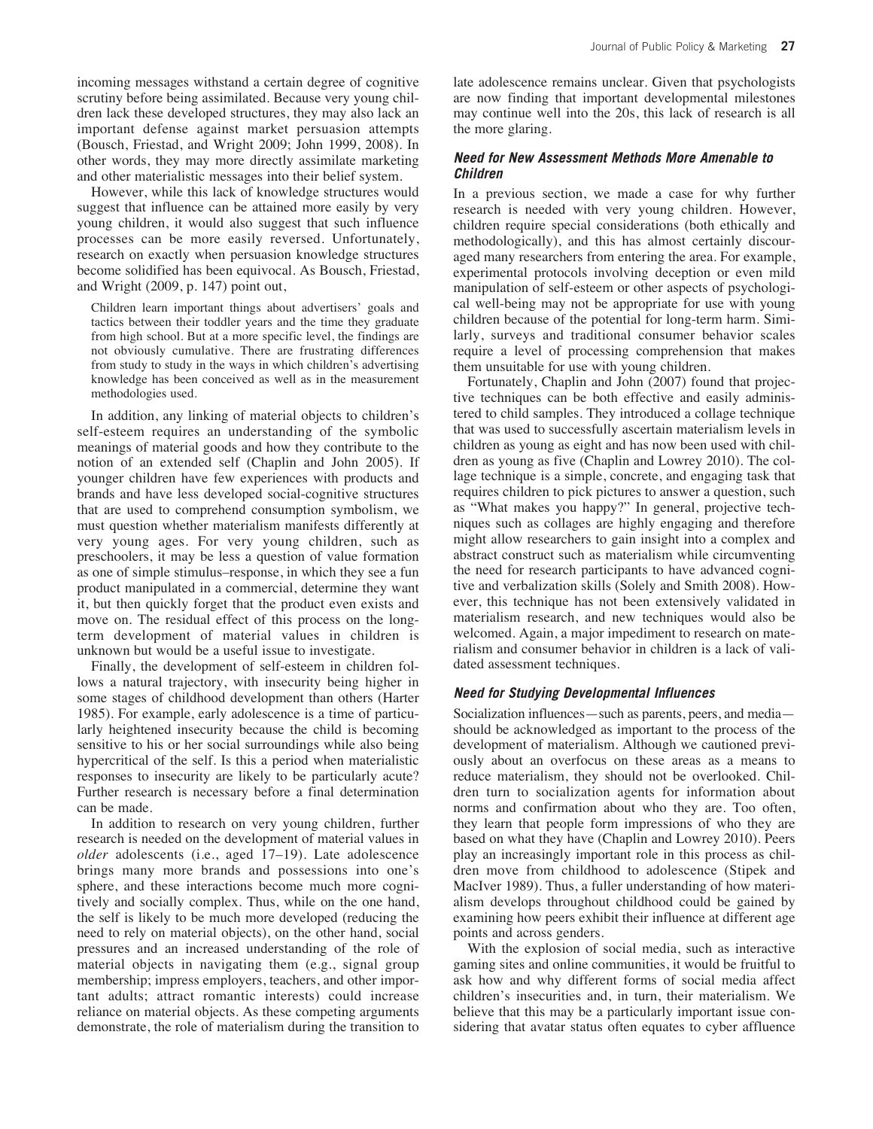incoming messages withstand a certain degree of cognitive scrutiny before being assimilated. Because very young children lack these developed structures, they may also lack an important defense against market persuasion attempts (Bousch, Friestad, and Wright 2009; John 1999, 2008). In other words, they may more directly assimilate marketing and other materialistic messages into their belief system.

However, while this lack of knowledge structures would suggest that influence can be attained more easily by very young children, it would also suggest that such influence processes can be more easily reversed. Unfortunately, research on exactly when persuasion knowledge structures become solidified has been equivocal. As Bousch, Friestad, and Wright (2009, p. 147) point out,

Children learn important things about advertisers' goals and tactics between their toddler years and the time they graduate from high school. But at a more specific level, the findings are not obviously cumulative. There are frustrating differences from study to study in the ways in which children's advertising knowledge has been conceived as well as in the measurement methodologies used.

In addition, any linking of material objects to children's self-esteem requires an understanding of the symbolic meanings of material goods and how they contribute to the notion of an extended self (Chaplin and John 2005). If younger children have few experiences with products and brands and have less developed social-cognitive structures that are used to comprehend consumption symbolism, we must question whether materialism manifests differently at very young ages. For very young children, such as preschoolers, it may be less a question of value formation as one of simple stimulus–response, in which they see a fun product manipulated in a commercial, determine they want it, but then quickly forget that the product even exists and move on. The residual effect of this process on the longterm development of material values in children is unknown but would be a useful issue to investigate.

Finally, the development of self-esteem in children follows a natural trajectory, with insecurity being higher in some stages of childhood development than others (Harter 1985). For example, early adolescence is a time of particularly heightened insecurity because the child is becoming sensitive to his or her social surroundings while also being hypercritical of the self. Is this a period when materialistic responses to insecurity are likely to be particularly acute? Further research is necessary before a final determination can be made.

In addition to research on very young children, further research is needed on the development of material values in *older* adolescents (i.e., aged 17–19). Late adolescence brings many more brands and possessions into one's sphere, and these interactions become much more cognitively and socially complex. Thus, while on the one hand, the self is likely to be much more developed (reducing the need to rely on material objects), on the other hand, social pressures and an increased understanding of the role of material objects in navigating them (e.g., signal group membership; impress employers, teachers, and other important adults; attract romantic interests) could increase reliance on material objects. As these competing arguments demonstrate, the role of materialism during the transition to late adolescence remains unclear. Given that psychologists are now finding that important developmental milestones may continue well into the 20s, this lack of research is all the more glaring.

#### *Need for New Assessment Methods More Amenable to Children*

In a previous section, we made a case for why further research is needed with very young children. However, children require special considerations (both ethically and methodologically), and this has almost certainly discouraged many researchers from entering the area. For example, experimental protocols involving deception or even mild manipulation of self-esteem or other aspects of psychological well-being may not be appropriate for use with young children because of the potential for long-term harm. Similarly, surveys and traditional consumer behavior scales require a level of processing comprehension that makes them unsuitable for use with young children.

Fortunately, Chaplin and John (2007) found that projective techniques can be both effective and easily administered to child samples. They introduced a collage technique that was used to successfully ascertain materialism levels in children as young as eight and has now been used with children as young as five (Chaplin and Lowrey 2010). The collage technique is a simple, concrete, and engaging task that requires children to pick pictures to answer a question, such as "What makes you happy?" In general, projective techniques such as collages are highly engaging and therefore might allow researchers to gain insight into a complex and abstract construct such as materialism while circumventing the need for research participants to have advanced cognitive and verbalization skills (Solely and Smith 2008). However, this technique has not been extensively validated in materialism research, and new techniques would also be welcomed. Again, a major impediment to research on materialism and consumer behavior in children is a lack of validated assessment techniques.

#### *Need for Studying Developmental Influences*

Socialization influences—such as parents, peers, and media should be acknowledged as important to the process of the development of materialism. Although we cautioned previously about an overfocus on these areas as a means to reduce materialism, they should not be overlooked. Children turn to socialization agents for information about norms and confirmation about who they are. Too often, they learn that people form impressions of who they are based on what they have (Chaplin and Lowrey 2010). Peers play an increasingly important role in this process as children move from childhood to adolescence (Stipek and MacIver 1989). Thus, a fuller understanding of how materialism develops throughout childhood could be gained by examining how peers exhibit their influence at different age points and across genders.

With the explosion of social media, such as interactive gaming sites and online communities, it would be fruitful to ask how and why different forms of social media affect children's insecurities and, in turn, their materialism. We believe that this may be a particularly important issue considering that avatar status often equates to cyber affluence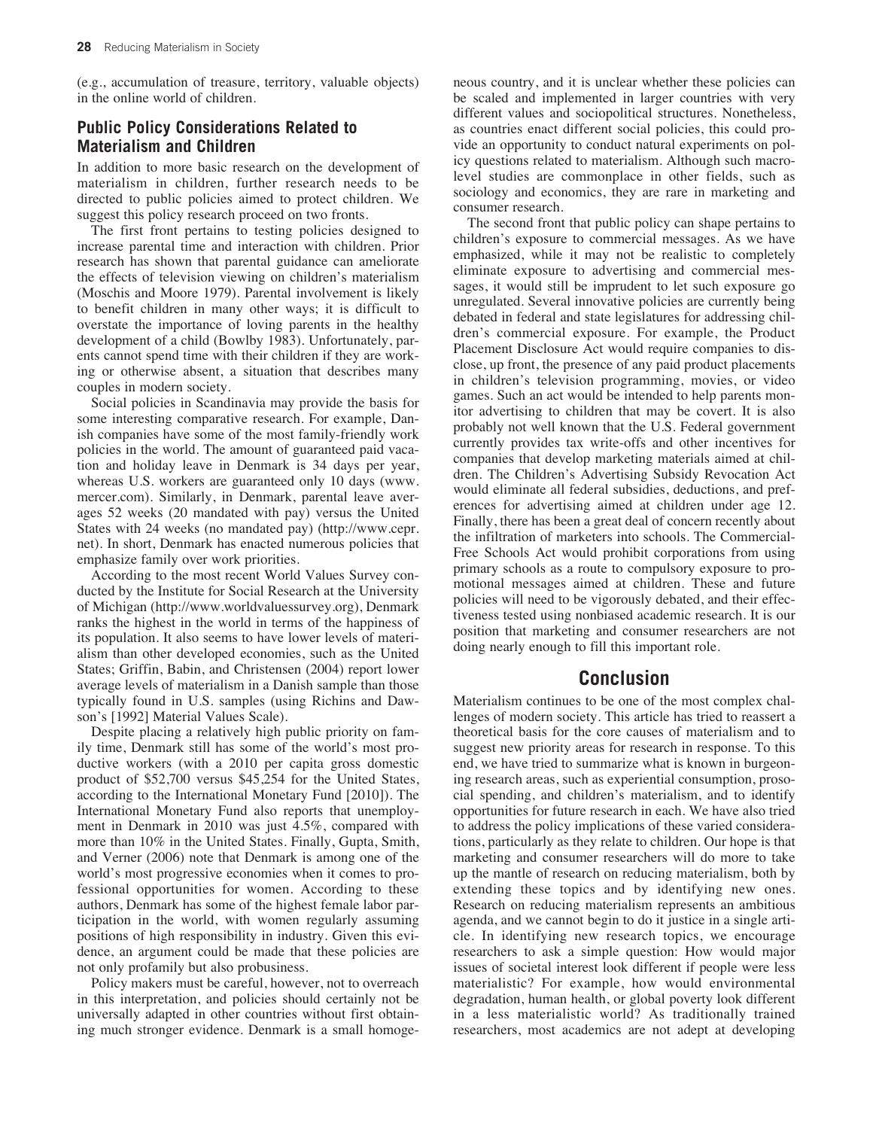(e.g., accumulation of treasure, territory, valuable objects) in the online world of children.

## **Public Policy Considerations Related to Materialism and Children**

In addition to more basic research on the development of materialism in children, further research needs to be directed to public policies aimed to protect children. We suggest this policy research proceed on two fronts.

The first front pertains to testing policies designed to increase parental time and interaction with children. Prior research has shown that parental guidance can ameliorate the effects of television viewing on children's materialism (Moschis and Moore 1979). Parental involvement is likely to benefit children in many other ways; it is difficult to overstate the importance of loving parents in the healthy development of a child (Bowlby 1983). Unfortunately, parents cannot spend time with their children if they are working or otherwise absent, a situation that describes many couples in modern society.

Social policies in Scandinavia may provide the basis for some interesting comparative research. For example, Danish companies have some of the most family-friendly work policies in the world. The amount of guaranteed paid vacation and holiday leave in Denmark is 34 days per year, whereas U.S. workers are guaranteed only 10 days (www. mercer.com). Similarly, in Denmark, parental leave averages 52 weeks (20 mandated with pay) versus the United States with 24 weeks (no mandated pay) (http://www. cepr. net). In short, Denmark has enacted numerous policies that emphasize family over work priorities.

According to the most recent World Values Survey conducted by the Institute for Social Research at the University of Michigan (http://www.worldvaluessurvey.org), Denmark ranks the highest in the world in terms of the happiness of its population. It also seems to have lower levels of materialism than other developed economies, such as the United States; Griffin, Babin, and Christensen (2004) report lower average levels of materialism in a Danish sample than those typically found in U.S. samples (using Richins and Dawson's [1992] Material Values Scale).

Despite placing a relatively high public priority on family time, Denmark still has some of the world's most productive workers (with a 2010 per capita gross domestic product of \$52,700 versus \$45,254 for the United States, according to the International Monetary Fund [2010]). The International Monetary Fund also reports that unemployment in Denmark in 2010 was just 4.5%, compared with more than 10% in the United States. Finally, Gupta, Smith, and Verner (2006) note that Denmark is among one of the world's most progressive economies when it comes to professional opportunities for women. According to these authors, Denmark has some of the highest female labor participation in the world, with women regularly assuming positions of high responsibility in industry. Given this evidence, an argument could be made that these policies are not only profamily but also probusiness.

Policy makers must be careful, however, not to overreach in this interpretation, and policies should certainly not be universally adapted in other countries without first obtaining much stronger evidence. Denmark is a small homogeneous country, and it is unclear whether these policies can be scaled and implemented in larger countries with very different values and sociopolitical structures. Nonetheless, as countries enact different social policies, this could provide an opportunity to conduct natural experiments on policy questions related to materialism. Although such macrolevel studies are commonplace in other fields, such as sociology and economics, they are rare in marketing and consumer research.

The second front that public policy can shape pertains to children's exposure to commercial messages. As we have emphasized, while it may not be realistic to completely eliminate exposure to advertising and commercial messages, it would still be imprudent to let such exposure go unregulated. Several innovative policies are currently being debated in federal and state legislatures for addressing children's commercial exposure. For example, the Product Placement Disclosure Act would require companies to disclose, up front, the presence of any paid product placements in children's television programming, movies, or video games. Such an act would be intended to help parents monitor advertising to children that may be covert. It is also probably not well known that the U.S. Federal government currently provides tax write-offs and other incentives for companies that develop marketing materials aimed at children. The Children's Advertising Subsidy Revocation Act would eliminate all federal subsidies, deductions, and preferences for advertising aimed at children under age 12. Finally, there has been a great deal of concern recently about the infiltration of marketers into schools. The Commercial-Free Schools Act would prohibit corporations from using primary schools as a route to compulsory exposure to promotional messages aimed at children. These and future policies will need to be vigorously debated, and their effectiveness tested using nonbiased academic research. It is our position that marketing and consumer researchers are not doing nearly enough to fill this important role.

## **Conclusion**

Materialism continues to be one of the most complex challenges of modern society. This article has tried to reassert a theoretical basis for the core causes of materialism and to suggest new priority areas for research in response. To this end, we have tried to summarize what is known in burgeoning research areas, such as experiential consumption, prosocial spending, and children's materialism, and to identify opportunities for future research in each. We have also tried to address the policy implications of these varied considerations, particularly as they relate to children. Our hope is that marketing and consumer researchers will do more to take up the mantle of research on reducing materialism, both by extending these topics and by identifying new ones. Research on reducing materialism represents an ambitious agenda, and we cannot begin to do it justice in a single article. In identifying new research topics, we encourage researchers to ask a simple question: How would major issues of societal interest look different if people were less materialistic? For example, how would environmental degradation, human health, or global poverty look different in a less materialistic world? As traditionally trained researchers, most academics are not adept at developing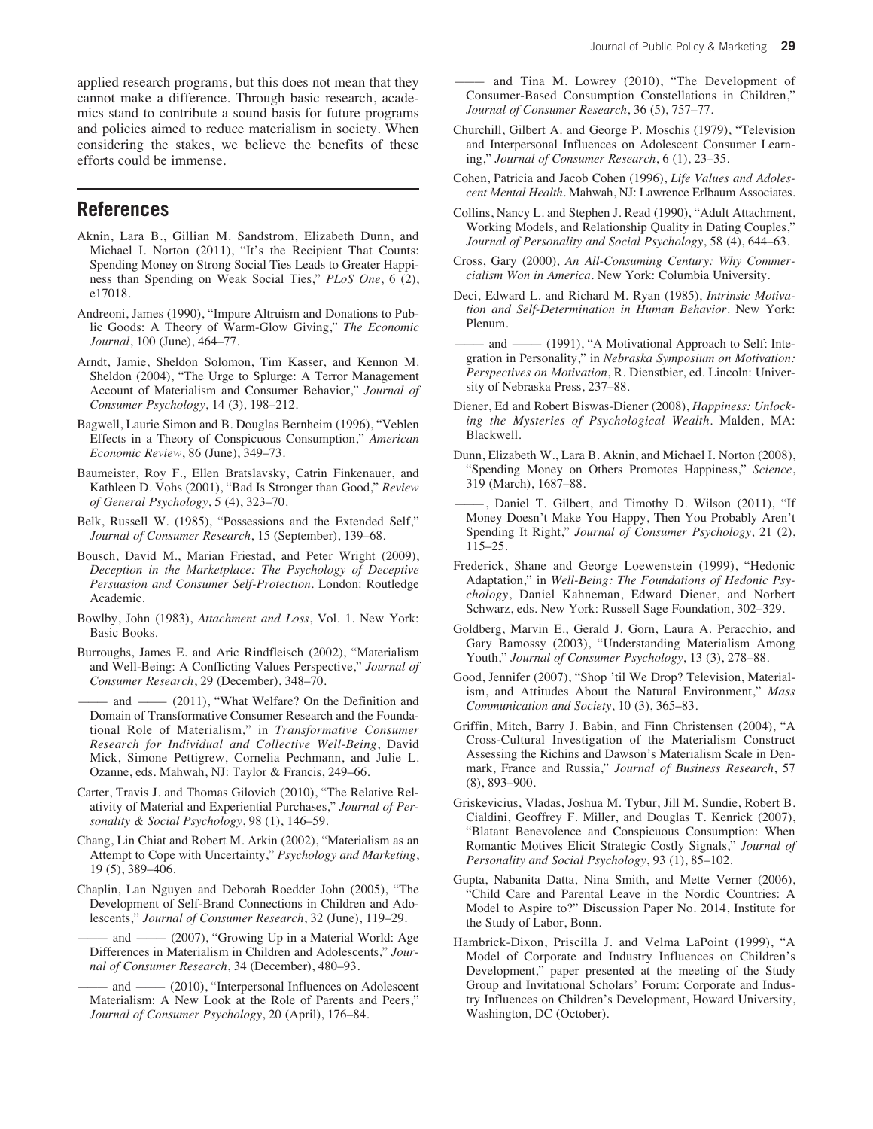applied research programs, but this does not mean that they cannot make a difference. Through basic research, academics stand to contribute a sound basis for future programs and policies aimed to reduce materialism in society. When considering the stakes, we believe the benefits of these efforts could be immense.

# **References**

- Aknin, Lara B., Gillian M. Sandstrom, Elizabeth Dunn, and Michael I. Norton (2011), "It's the Recipient That Counts: Spending Money on Strong Social Ties Leads to Greater Happiness than Spending on Weak Social Ties," *PLoS One*, 6 (2), e17018.
- Andreoni, James (1990), "Impure Altruism and Donations to Public Goods: A Theory of Warm-Glow Giving," *The Economic Journal*, 100 (June), 464–77.
- Arndt, Jamie, Sheldon Solomon, Tim Kasser, and Kennon M. Sheldon (2004), "The Urge to Splurge: A Terror Management Account of Materialism and Consumer Behavior," *Journal of Consumer Psychology*, 14 (3), 198–212.
- Bagwell, Laurie Simon and B. Douglas Bernheim (1996), "Veblen Effects in a Theory of Conspicuous Consumption," *American Economic Review*, 86 (June), 349–73.
- Baumeister, Roy F., Ellen Bratslavsky, Catrin Finkenauer, and Kathleen D. Vohs (2001), "Bad Is Stronger than Good," *Review of General Psychology*, 5 (4), 323–70.
- Belk, Russell W. (1985), "Possessions and the Extended Self," *Journal of Consumer Research*, 15 (September), 139–68.
- Bousch, David M., Marian Friestad, and Peter Wright (2009), *Deception in the Marketplace: The Psychology of Deceptive Persuasion and Consumer Self-Protection*. London: Routledge Academic.
- Bowlby, John (1983), *Attachment and Loss*, Vol. 1. New York: Basic Books.
- Burroughs, James E. and Aric Rindfleisch (2002), "Materialism and Well-Being: A Conflicting Values Perspective," *Journal of Consumer Research*, 29 (December), 348–70.
	- and —— (2011), "What Welfare? On the Definition and Domain of Transformative Consumer Research and the Foundational Role of Materialism," in *Transformative Consumer Research for Individual and Collective Well-Being*, David Mick, Simone Pettigrew, Cornelia Pechmann, and Julie L. Ozanne, eds. Mahwah, NJ: Taylor & Francis, 249–66.
- Carter, Travis J. and Thomas Gilovich (2010), "The Relative Relativity of Material and Experiential Purchases," *Journal of Personality & Social Psychology*, 98 (1), 146–59.
- Chang, Lin Chiat and Robert M. Arkin (2002), "Materialism as an Attempt to Cope with Uncertainty," *Psychology and Marketing*, 19 (5), 389–406.
- Chaplin, Lan Nguyen and Deborah Roedder John (2005), "The Development of Self-Brand Connections in Children and Adolescents," *Journal of Consumer Research*, 32 (June), 119–29.

and  $\frac{1}{2007}$ , "Growing Up in a Material World: Age Differences in Materialism in Children and Adolescents," *Journal of Consumer Research*, 34 (December), 480–93.

and  $\frac{1}{2010}$ , "Interpersonal Influences on Adolescent Materialism: A New Look at the Role of Parents and Peers," *Journal of Consumer Psychology*, 20 (April), 176–84.

- ——— and Tina M. Lowrey (2010), "The Development of Consumer-Based Consumption Constellations in Children," *Journal of Consumer Research*, 36 (5), 757–77.
- Churchill, Gilbert A. and George P. Moschis (1979), "Television and Interpersonal Influences on Adolescent Consumer Learning," *Journal of Consumer Research*, 6 (1), 23–35.
- Cohen, Patricia and Jacob Cohen (1996), *Life Values and Adolescent Mental Health*. Mahwah, NJ: Lawrence Erlbaum Associates.
- Collins, Nancy L. and Stephen J. Read (1990), "Adult Attachment, Working Models, and Relationship Quality in Dating Couples," *Journal of Personality and Social Psychology*, 58 (4), 644–63.
- Cross, Gary (2000), *An All-Consuming Century: Why Commercialism Won in America*. New York: Columbia University.
- Deci, Edward L. and Richard M. Ryan (1985), *Intrinsic Motivation and Self-Determination in Human Behavior*. New York: Plenum.
- and —— (1991), "A Motivational Approach to Self: Integration in Personality," in *Nebraska Symposium on Motivation: Perspectives on Motivation*, R. Dienstbier, ed. Lincoln: University of Nebraska Press, 237–88.
- Diener, Ed and Robert Biswas-Diener (2008), *Happiness: Unlocking the Mysteries of Psychological Wealth*. Malden, MA: Blackwell.
- Dunn, Elizabeth W., Lara B. Aknin, and Michael I. Norton (2008), "Spending Money on Others Promotes Happiness," *Science*, 319 (March), 1687–88.
- ———, Daniel T. Gilbert, and Timothy D. Wilson (2011), "If Money Doesn't Make You Happy, Then You Probably Aren't Spending It Right," *Journal of Consumer Psychology*, 21 (2), 115–25.
- Frederick, Shane and George Loewenstein (1999), "Hedonic Adaptation," in *Well-Being: The Foundations of Hedonic Psychology*, Daniel Kahneman, Edward Diener, and Norbert Schwarz, eds. New York: Russell Sage Foundation, 302–329.
- Goldberg, Marvin E., Gerald J. Gorn, Laura A. Peracchio, and Gary Bamossy (2003), "Understanding Materialism Among Youth," *Journal of Consumer Psychology*, 13 (3), 278–88.
- Good, Jennifer (2007), "Shop 'til We Drop? Television, Materialism, and Attitudes About the Natural Environment," *Mass Communication and Society*, 10 (3), 365–83.
- Griffin, Mitch, Barry J. Babin, and Finn Christensen (2004), "A Cross-Cultural Investigation of the Materialism Construct Assessing the Richins and Dawson's Materialism Scale in Denmark, France and Russia," *Journal of Business Research*, 57 (8), 893–900.
- Griskevicius, Vladas, Joshua M. Tybur, Jill M. Sundie, Robert B. Cialdini, Geoffrey F. Miller, and Douglas T. Kenrick (2007), "Blatant Benevolence and Conspicuous Consumption: When Romantic Motives Elicit Strategic Costly Signals," *Journal of Personality and Social Psychology*, 93 (1), 85–102.
- Gupta, Nabanita Datta, Nina Smith, and Mette Verner (2006), "Child Care and Parental Leave in the Nordic Countries: A Model to Aspire to?" Discussion Paper No. 2014, Institute for the Study of Labor, Bonn.
- Hambrick-Dixon, Priscilla J. and Velma LaPoint (1999), "A Model of Corporate and Industry Influences on Children's Development," paper presented at the meeting of the Study Group and Invitational Scholars' Forum: Corporate and Industry Influences on Children's Development, Howard University, Washington, DC (October).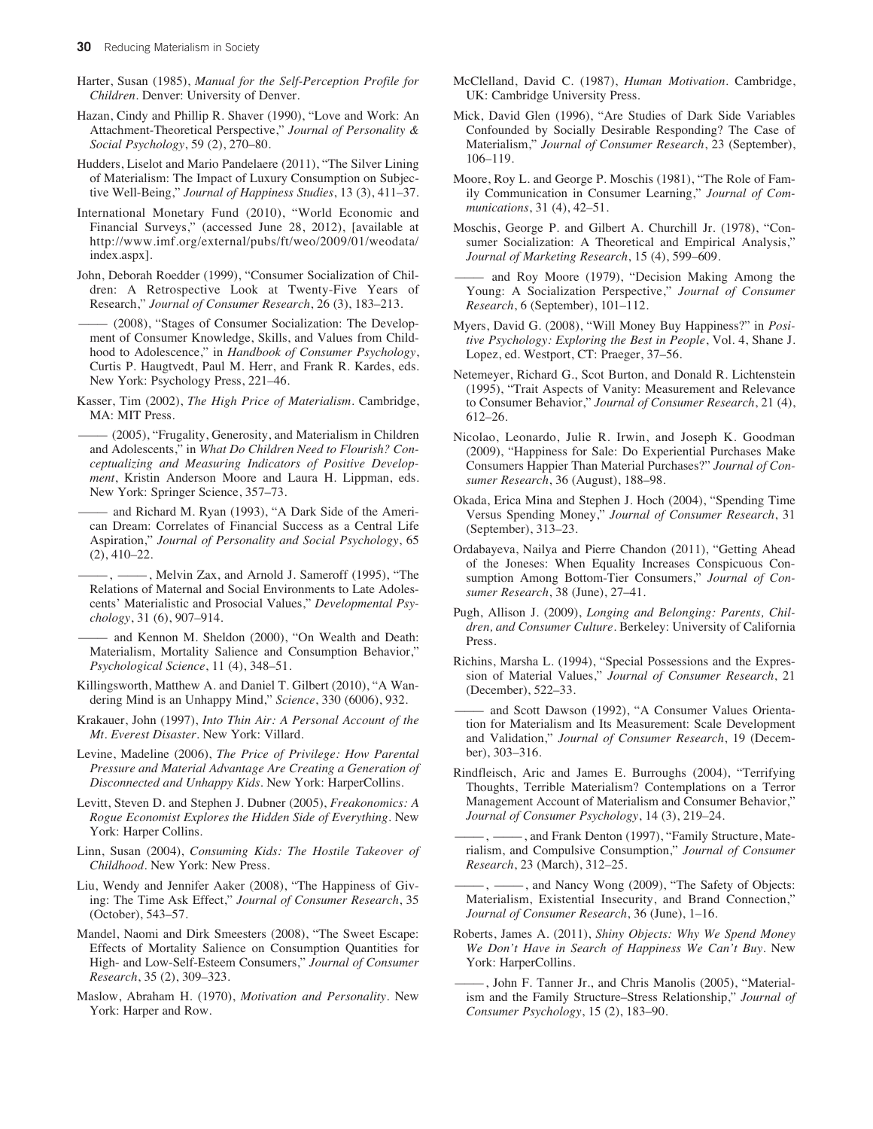- Harter, Susan (1985), *Manual for the Self-Perception Profile for Children.* Denver: University of Denver.
- Hazan, Cindy and Phillip R. Shaver (1990), "Love and Work: An Attachment-Theoretical Perspective," *Journal of Personality & Social Psychology*, 59 (2), 270–80.
- Hudders, Liselot and Mario Pandelaere (2011), "The Silver Lining of Materialism: The Impact of Luxury Consumption on Subjective Well-Being," *Journal of Happiness Studies*, 13 (3), 411–37.
- International Monetary Fund (2010), "World Economic and Financial Surveys," (accessed June 28, 2012), [available at http:// www.imf.org/external/pubs/ft/weo/2009/01/weodata/ index. aspx].
- John, Deborah Roedder (1999), "Consumer Socialization of Children: A Retrospective Look at Twenty-Five Years of Research," *Journal of Consumer Research*, 26 (3), 183–213.
- (2008), "Stages of Consumer Socialization: The Development of Consumer Knowledge, Skills, and Values from Childhood to Adolescence," in *Handbook of Consumer Psychology*, Curtis P. Haugtvedt, Paul M. Herr, and Frank R. Kardes, eds. New York: Psychology Press, 221–46.
- Kasser, Tim (2002), *The High Price of Materialism*. Cambridge, MA: MIT Press.
	- (2005), "Frugality, Generosity, and Materialism in Children and Adolescents," in *What Do Children Need to Flourish? Conceptualizing and Measuring Indicators of Positive Development*, Kristin Anderson Moore and Laura H. Lippman, eds. New York: Springer Science, 357–73.
	- and Richard M. Ryan (1993), "A Dark Side of the American Dream: Correlates of Financial Success as a Central Life Aspiration," *Journal of Personality and Social Psychology*, 65 (2), 410–22.
- ———, ———, Melvin Zax, and Arnold J. Sameroff (1995), "The Relations of Maternal and Social Environments to Late Adolescents' Materialistic and Prosocial Values," *Developmental Psychology*, 31 (6), 907–914.
- and Kennon M. Sheldon (2000), "On Wealth and Death: Materialism, Mortality Salience and Consumption Behavior," *Psychological Science*, 11 (4), 348–51.
- Killingsworth, Matthew A. and Daniel T. Gilbert (2010), "A Wandering Mind is an Unhappy Mind," *Science*, 330 (6006), 932.
- Krakauer, John (1997), *Into Thin Air: A Personal Account of the Mt. Everest Disaster*. New York: Villard.
- Levine, Madeline (2006), *The Price of Privilege: How Parental Pressure and Material Advantage Are Creating a Generation of Disconnected and Unhappy Kids*. New York: HarperCollins.
- Levitt, Steven D. and Stephen J. Dubner (2005), *Freakonomics: A Rogue Economist Explores the Hidden Side of Everything*. New York: Harper Collins.
- Linn, Susan (2004), *Consuming Kids: The Hostile Takeover of Childhood*. New York: New Press.
- Liu, Wendy and Jennifer Aaker (2008), "The Happiness of Giving: The Time Ask Effect," *Journal of Consumer Research*, 35 (October), 543–57.
- Mandel, Naomi and Dirk Smeesters (2008), "The Sweet Escape: Effects of Mortality Salience on Consumption Quantities for High- and Low-Self-Esteem Consumers," *Journal of Consumer Research*, 35 (2), 309–323.
- Maslow, Abraham H. (1970), *Motivation and Personality*. New York: Harper and Row.
- McClelland, David C. (1987), *Human Motivation*. Cambridge, UK: Cambridge University Press.
- Mick, David Glen (1996), "Are Studies of Dark Side Variables Confounded by Socially Desirable Responding? The Case of Materialism," *Journal of Consumer Research*, 23 (September), 106–119.
- Moore, Roy L. and George P. Moschis (1981), "The Role of Family Communication in Consumer Learning," *Journal of Communications*, 31 (4), 42–51.
- Moschis, George P. and Gilbert A. Churchill Jr. (1978), "Consumer Socialization: A Theoretical and Empirical Analysis," *Journal of Marketing Research*, 15 (4), 599–609.
- ——— and Roy Moore (1979), "Decision Making Among the Young: A Socialization Perspective," *Journal of Consumer Research*, 6 (September), 101–112.
- Myers, David G. (2008), "Will Money Buy Happiness?" in *Positive Psychology: Exploring the Best in People*, Vol. 4, Shane J. Lopez, ed. Westport, CT: Praeger, 37–56.
- Netemeyer, Richard G., Scot Burton, and Donald R. Lichtenstein (1995), "Trait Aspects of Vanity: Measurement and Relevance to Consumer Behavior," *Journal of Consumer Research*, 21 (4), 612–26.
- Nicolao, Leonardo, Julie R. Irwin, and Joseph K. Goodman (2009), "Happiness for Sale: Do Experiential Purchases Make Consumers Happier Than Material Purchases?" *Journal of Consumer Research*, 36 (August), 188–98.
- Okada, Erica Mina and Stephen J. Hoch (2004), "Spending Time Versus Spending Money," *Journal of Consumer Research*, 31 (September), 313–23.
- Ordabayeva, Nailya and Pierre Chandon (2011), "Getting Ahead of the Joneses: When Equality Increases Conspicuous Consumption Among Bottom-Tier Consumers," *Journal of Consumer Research*, 38 (June), 27–41.
- Pugh, Allison J. (2009), *Longing and Belonging: Parents, Children, and Consumer Culture*. Berkeley: University of California Press.
- Richins, Marsha L. (1994), "Special Possessions and the Expression of Material Values," *Journal of Consumer Research*, 21 (December), 522–33.
- and Scott Dawson (1992), "A Consumer Values Orientation for Materialism and Its Measurement: Scale Development and Validation," *Journal of Consumer Research*, 19 (December), 303–316.
- Rindfleisch, Aric and James E. Burroughs (2004), "Terrifying Thoughts, Terrible Materialism? Contemplations on a Terror Management Account of Materialism and Consumer Behavior," *Journal of Consumer Psychology*, 14 (3), 219–24.
- -, and Frank Denton (1997), "Family Structure, Materialism, and Compulsive Consumption," *Journal of Consumer Research*, 23 (March), 312–25.
- $-$ , and Nancy Wong (2009), "The Safety of Objects: Materialism, Existential Insecurity, and Brand Connection," *Journal of Consumer Research*, 36 (June), 1–16.
- Roberts, James A. (2011), *Shiny Objects: Why We Spend Money We Don't Have in Search of Happiness We Can't Buy*. New York: HarperCollins.
- ———, John F. Tanner Jr., and Chris Manolis (2005), "Materialism and the Family Structure–Stress Relationship," *Journal of Consumer Psychology*, 15 (2), 183–90.